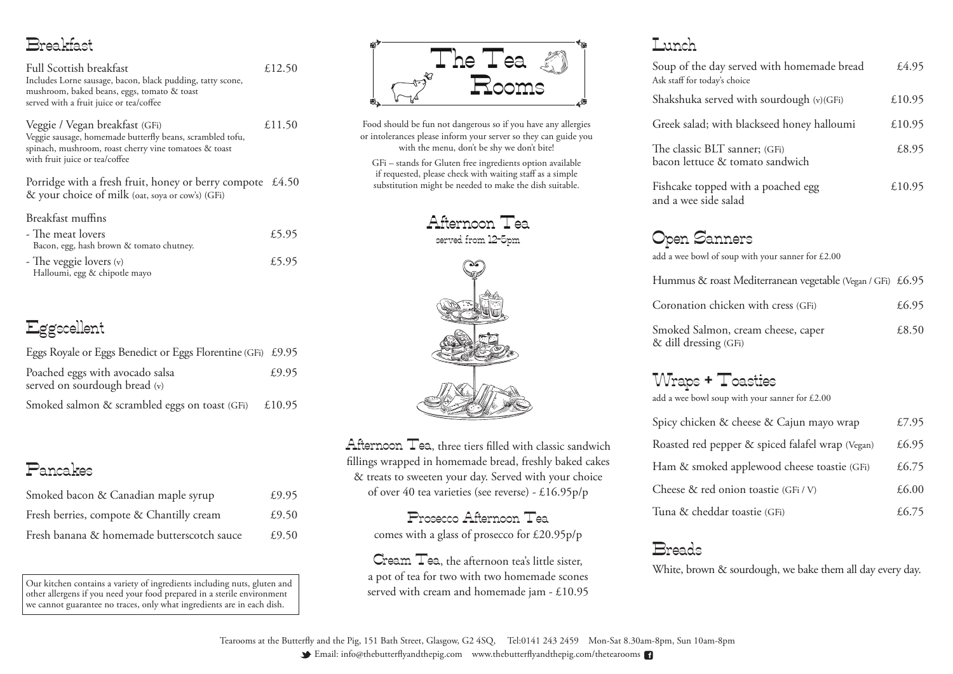Email: info@thebutterflyandthepig.com www.thebutterflyandthepig.com/thetearooms

| y served with homemade bread<br>'s choice       | £4.95  |
|-------------------------------------------------|--------|
| red with sourdough (v)(GFi)                     | £10.95 |
| ith blackseed honey halloumi                    | £10.95 |
| $\Gamma$ sanner; (GFi)<br>& tomato sandwich     | £8.95  |
| d with a poached egg:<br>salad                  | £10.95 |
| mers<br>soup with your sanner for £2.00         |        |
| ast Mediterranean vegetable (Vegan / GFi) £6.95 |        |
| icken with cress (GFi)                          | £6.95  |
| n, cream cheese, caper<br>(GFi)                 | £8.50  |
|                                                 |        |

<u>Breakfas</u>t

| <b>Full Scottish breakfast</b><br>Includes Lorne sausage, bacon, black pudding, tatty scone,<br>mushroom, baked beans, eggs, tomato & toast<br>served with a fruit juice or tea/coffee | £12.50 |
|----------------------------------------------------------------------------------------------------------------------------------------------------------------------------------------|--------|
| Veggie / Vegan breakfast (GFi)<br>Veggie sausage, homemade butterfly beans, scrambled tofu,<br>spinach, mushroom, roast cherry vine tomatoes & toast<br>with fruit juice or tea/coffee | £11.50 |
| Porridge with a fresh fruit, honey or berry compote £4.50<br>& your choice of milk (oat, soya or cow's) (GFi)                                                                          |        |
| Breakfast muffins<br>- The meat lovers<br>Bacon, egg, hash brown & tomato chutney.                                                                                                     | £5.95  |

| .                             |       |
|-------------------------------|-------|
| - The veggie lovers $(v)$     | £5.95 |
| Halloumi, egg & chipotle mayo |       |

## Eggscellent

| Eggs Royale or Eggs Benedict or Eggs Florentine (GFi) £9.95 |        |
|-------------------------------------------------------------|--------|
| Poached eggs with avocado salsa                             | £9.95  |
| served on sourdough bread (v)                               |        |
| Smoked salmon & scrambled eggs on toast (GFi)               | £10.95 |

Cream Tea, the afternoon tea's little sister, a pot of tea for two with two homemade scones served with cream and homemade jam - £10.95

### Pancakes

| Smoked bacon & Canadian maple syrup        | £9.95 |
|--------------------------------------------|-------|
| Fresh berries, compote & Chantilly cream   | £9.50 |
| Fresh banana & homemade butterscotch sauce | £9.50 |

Our kitchen contains a variety of ingredients including nuts, gluten and other allergens if you need your food prepared in a sterile environment we cannot guarantee no traces, only what ingredients are in each dish.

Food should be fun not dangerous so if you have any allergies or intolerances please inform your server so they can guide you with the menu, don't be shy we don't bite!

GFi – stands for Gluten free ingredients option available if requested, please check with waiting staff as a simple substitution might be needed to make the dish suitable.



Afternoon Tea, three tiers filled with classic sandwich fillings wrapped in homemade bread, freshly baked cakes & treats to sweeten your day. Served with your choice of over 40 tea varieties (see reverse) - £16.95p/p

> Prosecco Afternoon Tea comes with a glass of prosecco for £20.95p/p

### Lunch

Soup of the day Ask staff for today'

Shakshuka serv

Greek salad; w

The classic BLT bacon lettuce &

Fishcake toppe and a wee side

Open San

add a wee bowl of

Hummus & roa

Coronation ch

Smoked Salmo  $\&$  dill dressing

Wraps + Toasties

Spicy chicken

Roasted red pe

Ham & smoke

Cheese & red

Tuna & chedda

add a wee bowl soup with your sanner for £2.00

| & cheese & Cajun mayo wrap         | £7.95 |
|------------------------------------|-------|
| pper & spiced falafel wrap (Vegan) | £6.95 |
| ed applewood cheese toastie (GFi)  | £6.75 |
| onion toastie (GFi / V)            | £6.00 |
| ar toastie (GFi)                   | £6.75 |

Breads

White, brown & sourdough, we bake them all day every day.